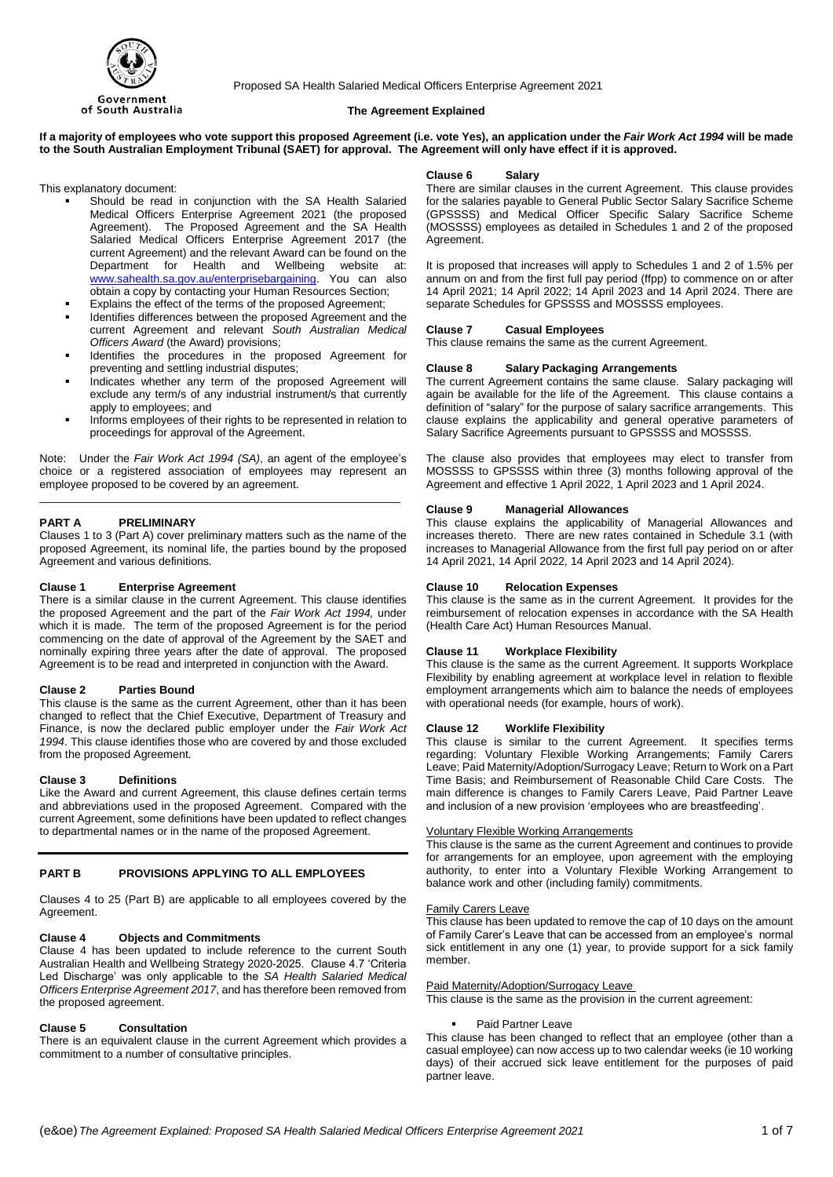

Proposed SA Health Salaried Medical Officers Enterprise Agreement 2021

# **The Agreement Explained**

If a majority of employees who vote support this proposed Agreement (i.e. vote Yes), an application under the Fair Work Act 1994 will be made **to the South Australian Employment Tribunal (SAET) for approval. The Agreement will only have effect if it is approved.**

This explanatory document:

- Should be read in conjunction with the SA Health Salaried Medical Officers Enterprise Agreement 2021 (the proposed Agreement). The Proposed Agreement and the SA Health Salaried Medical Officers Enterprise Agreement 2017 (the current Agreement) and the relevant Award can be found on the<br>Department for Health and Wellbeing website at: Department for Health and Wellbeing website at: [www.sahealth.sa.gov.au/enterprisebargaining.](http://www.sahealth.sa.gov.au/enterprisebargaining) You can also obtain a copy by contacting your Human Resources Section;
- Explains the effect of the terms of the proposed Agreement;
- Identifies differences between the proposed Agreement and the current Agreement and relevant *South Australian Medical Officers Award* (the Award) provisions;
- Identifies the procedures in the proposed Agreement for preventing and settling industrial disputes;
- Indicates whether any term of the proposed Agreement will exclude any term/s of any industrial instrument/s that currently apply to employees; and
- Informs employees of their rights to be represented in relation to proceedings for approval of the Agreement.

Note: Under the *Fair Work Act 1994 (SA)*, an agent of the employee's choice or a registered association of employees may represent an employee proposed to be covered by an agreement.

\_\_\_\_\_\_\_\_\_\_\_\_\_\_\_\_\_\_\_\_\_\_\_\_\_\_\_\_\_\_\_\_\_\_\_\_\_\_\_\_\_\_\_\_\_\_\_\_\_\_\_\_\_\_\_\_\_\_

# **PART A PRELIMINARY**

Clauses 1 to 3 (Part A) cover preliminary matters such as the name of the proposed Agreement, its nominal life, the parties bound by the proposed Agreement and various definitions.

# **Clause 1 Enterprise Agreement**

There is a similar clause in the current Agreement. This clause identifies the proposed Agreement and the part of the *Fair Work Act 1994,* under which it is made. The term of the proposed Agreement is for the period commencing on the date of approval of the Agreement by the SAET and nominally expiring three years after the date of approval. The proposed Agreement is to be read and interpreted in conjunction with the Award.

## **Clause 2 Parties Bound**

This clause is the same as the current Agreement, other than it has been changed to reflect that the Chief Executive, Department of Treasury and Finance, is now the declared public employer under the *Fair Work Act 1994*. This clause identifies those who are covered by and those excluded from the proposed Agreement.

## **Clause 3 Definitions**

Like the Award and current Agreement, this clause defines certain terms and abbreviations used in the proposed Agreement. Compared with the current Agreement, some definitions have been updated to reflect changes to departmental names or in the name of the proposed Agreement.

## **PART B PROVISIONS APPLYING TO ALL EMPLOYEES**

Clauses 4 to 25 (Part B) are applicable to all employees covered by the Agreement.

## **Clause 4 Objects and Commitments**

Clause 4 has been updated to include reference to the current South Australian Health and Wellbeing Strategy 2020-2025. Clause 4.7 'Criteria Led Discharge' was only applicable to the *SA Health Salaried Medical Officers Enterprise Agreement 2017*, and has therefore been removed from the proposed agreement.

## **Clause 5 Consultation**

There is an equivalent clause in the current Agreement which provides a commitment to a number of consultative principles.

#### **Clause 6 Salary**

There are similar clauses in the current Agreement. This clause provides for the salaries payable to General Public Sector Salary Sacrifice Scheme (GPSSSS) and Medical Officer Specific Salary Sacrifice Scheme (MOSSSS) employees as detailed in Schedules 1 and 2 of the proposed Agreement.

It is proposed that increases will apply to Schedules 1 and 2 of 1.5% per annum on and from the first full pay period (ffpp) to commence on or after 14 April 2021; 14 April 2022; 14 April 2023 and 14 April 2024. There are separate Schedules for GPSSSS and MOSSSS employees.

#### **Clause 7 Casual Employees**

This clause remains the same as the current Agreement.

#### **Clause 8 Salary Packaging Arrangements**

The current Agreement contains the same clause. Salary packaging will again be available for the life of the Agreement. This clause contains a definition of "salary" for the purpose of salary sacrifice arrangements. This clause explains the applicability and general operative parameters of Salary Sacrifice Agreements pursuant to GPSSSS and MOSSSS.

The clause also provides that employees may elect to transfer from MOSSSS to GPSSSS within three (3) months following approval of the Agreement and effective 1 April 2022, 1 April 2023 and 1 April 2024.

#### **Clause 9 Managerial Allowances**

This clause explains the applicability of Managerial Allowances and increases thereto. There are new rates contained in Schedule 3.1 (with increases to Managerial Allowance from the first full pay period on or after 14 April 2021, 14 April 2022, 14 April 2023 and 14 April 2024).

#### **Clause 10 Relocation Expenses**

This clause is the same as in the current Agreement. It provides for the reimbursement of relocation expenses in accordance with the SA Health (Health Care Act) Human Resources Manual.

#### **Clause 11 Workplace Flexibility**

This clause is the same as the current Agreement. It supports Workplace Flexibility by enabling agreement at workplace level in relation to flexible employment arrangements which aim to balance the needs of employees with operational needs (for example, hours of work).

## **Clause 12 Worklife Flexibility**

This clause is similar to the current Agreement. It specifies terms regarding: Voluntary Flexible Working Arrangements; Family Carers Leave; Paid Maternity/Adoption/Surrogacy Leave; Return to Work on a Part Time Basis; and Reimbursement of Reasonable Child Care Costs. The main difference is changes to Family Carers Leave, Paid Partner Leave and inclusion of a new provision 'employees who are breastfeeding'.

## Voluntary Flexible Working Arrangements

This clause is the same as the current Agreement and continues to provide for arrangements for an employee, upon agreement with the employing authority, to enter into a Voluntary Flexible Working Arrangement to balance work and other (including family) commitments.

## Family Carers Leave

This clause has been updated to remove the cap of 10 days on the amount of Family Carer's Leave that can be accessed from an employee's normal sick entitlement in any one (1) year, to provide support for a sick family member.

# Paid Maternity/Adoption/Surrogacy Leave

This clause is the same as the provision in the current agreement:

#### Paid Partner Leave

This clause has been changed to reflect that an employee (other than a casual employee) can now access up to two calendar weeks (ie 10 working days) of their accrued sick leave entitlement for the purposes of paid partner leave.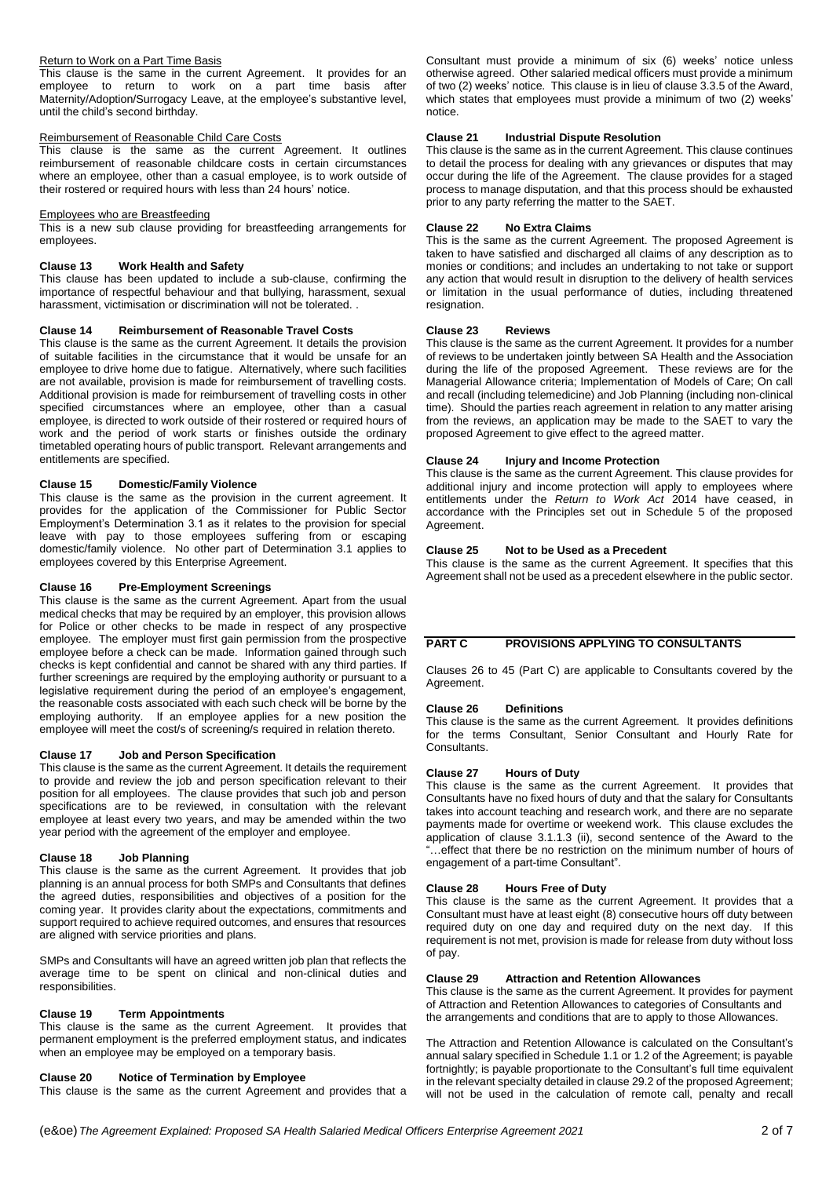#### Return to Work on a Part Time Basis

This clause is the same in the current Agreement. It provides for an employee to return to work on a part time basis after Maternity/Adoption/Surrogacy Leave, at the employee's substantive level, until the child's second birthday.

#### Reimbursement of Reasonable Child Care Costs

This clause is the same as the current Agreement. It outlines reimbursement of reasonable childcare costs in certain circumstances where an employee, other than a casual employee, is to work outside of their rostered or required hours with less than 24 hours' notice.

#### Employees who are Breastfeeding

This is a new sub clause providing for breastfeeding arrangements for employees.

## **Clause 13 Work Health and Safety**

This clause has been updated to include a sub-clause, confirming the importance of respectful behaviour and that bullying, harassment, sexual harassment, victimisation or discrimination will not be tolerated. .

## **Clause 14 Reimbursement of Reasonable Travel Costs**

This clause is the same as the current Agreement. It details the provision of suitable facilities in the circumstance that it would be unsafe for an employee to drive home due to fatigue. Alternatively, where such facilities are not available, provision is made for reimbursement of travelling costs. Additional provision is made for reimbursement of travelling costs in other specified circumstances where an employee, other than a casual employee, is directed to work outside of their rostered or required hours of work and the period of work starts or finishes outside the ordinary timetabled operating hours of public transport. Relevant arrangements and entitlements are specified.

# **Clause 15 Domestic/Family Violence**

This clause is the same as the provision in the current agreement. It provides for the application of the Commissioner for Public Sector Employment's Determination 3.1 as it relates to the provision for special leave with pay to those employees suffering from or escaping domestic/family violence. No other part of Determination 3.1 applies to employees covered by this Enterprise Agreement.

#### **Clause 16 Pre-Employment Screenings**

This clause is the same as the current Agreement. Apart from the usual medical checks that may be required by an employer, this provision allows for Police or other checks to be made in respect of any prospective employee. The employer must first gain permission from the prospective employee before a check can be made. Information gained through such checks is kept confidential and cannot be shared with any third parties. If further screenings are required by the employing authority or pursuant to a legislative requirement during the period of an employee's engagement, the reasonable costs associated with each such check will be borne by the employing authority. If an employee applies for a new position the employee will meet the cost/s of screening/s required in relation thereto.

# **Clause 17 Job and Person Specification**

This clause is the same as the current Agreement. It details the requirement to provide and review the job and person specification relevant to their position for all employees. The clause provides that such job and person specifications are to be reviewed, in consultation with the relevant employee at least every two years, and may be amended within the two year period with the agreement of the employer and employee.

## **Clause 18 Job Planning**

This clause is the same as the current Agreement. It provides that job planning is an annual process for both SMPs and Consultants that defines the agreed duties, responsibilities and objectives of a position for the coming year. It provides clarity about the expectations, commitments and support required to achieve required outcomes, and ensures that resources are aligned with service priorities and plans.

SMPs and Consultants will have an agreed written job plan that reflects the average time to be spent on clinical and non-clinical duties and responsibilities.

# **Clause 19 Term Appointments**

This clause is the same as the current Agreement. It provides that permanent employment is the preferred employment status, and indicates when an employee may be employed on a temporary basis.

## **Clause 20 Notice of Termination by Employee**

This clause is the same as the current Agreement and provides that a

Consultant must provide a minimum of six (6) weeks' notice unless otherwise agreed. Other salaried medical officers must provide a minimum of two (2) weeks' notice. This clause is in lieu of clause 3.3.5 of the Award, which states that employees must provide a minimum of two (2) weeks' notice.

#### **Clause 21 Industrial Dispute Resolution**

This clause is the same as in the current Agreement. This clause continues to detail the process for dealing with any grievances or disputes that may occur during the life of the Agreement. The clause provides for a staged process to manage disputation, and that this process should be exhausted prior to any party referring the matter to the SAET.

#### **Clause 22 No Extra Claims**

This is the same as the current Agreement. The proposed Agreement is taken to have satisfied and discharged all claims of any description as to monies or conditions; and includes an undertaking to not take or support any action that would result in disruption to the delivery of health services or limitation in the usual performance of duties, including threatened resignation.

## **Clause 23 Reviews**

This clause is the same as the current Agreement. It provides for a number of reviews to be undertaken jointly between SA Health and the Association during the life of the proposed Agreement. These reviews are for the Managerial Allowance criteria; Implementation of Models of Care; On call and recall (including telemedicine) and Job Planning (including non-clinical time). Should the parties reach agreement in relation to any matter arising from the reviews, an application may be made to the SAET to vary the proposed Agreement to give effect to the agreed matter.

#### **Clause 24 Injury and Income Protection**

This clause is the same as the current Agreement. This clause provides for additional injury and income protection will apply to employees where entitlements under the *Return to Work Act* 2014 have ceased, in accordance with the Principles set out in Schedule 5 of the proposed Agreement.

# **Clause 25 Not to be Used as a Precedent**

This clause is the same as the current Agreement. It specifies that this Agreement shall not be used as a precedent elsewhere in the public sector.

# **PART C PROVISIONS APPLYING TO CONSULTANTS**

Clauses 26 to 45 (Part C) are applicable to Consultants covered by the Agreement.

#### **Clause 26 Definitions**

This clause is the same as the current Agreement. It provides definitions for the terms Consultant, Senior Consultant and Hourly Rate for Consultants.

# **Clause 27 Hours of Duty**

This clause is the same as the current Agreement. It provides that Consultants have no fixed hours of duty and that the salary for Consultants takes into account teaching and research work, and there are no separate payments made for overtime or weekend work. This clause excludes the application of clause 3.1.1.3 (ii), second sentence of the Award to the "…effect that there be no restriction on the minimum number of hours of engagement of a part-time Consultant".

#### **Clause 28 Hours Free of Duty**

This clause is the same as the current Agreement. It provides that a Consultant must have at least eight (8) consecutive hours off duty between required duty on one day and required duty on the next day. If this requirement is not met, provision is made for release from duty without loss of pay.

## **Clause 29 Attraction and Retention Allowances**

This clause is the same as the current Agreement. It provides for payment of Attraction and Retention Allowances to categories of Consultants and the arrangements and conditions that are to apply to those Allowances.

The Attraction and Retention Allowance is calculated on the Consultant's annual salary specified in Schedule 1.1 or 1.2 of the Agreement; is payable fortnightly; is payable proportionate to the Consultant's full time equivalent in the relevant specialty detailed in clause 29.2 of the proposed Agreement; will not be used in the calculation of remote call, penalty and recall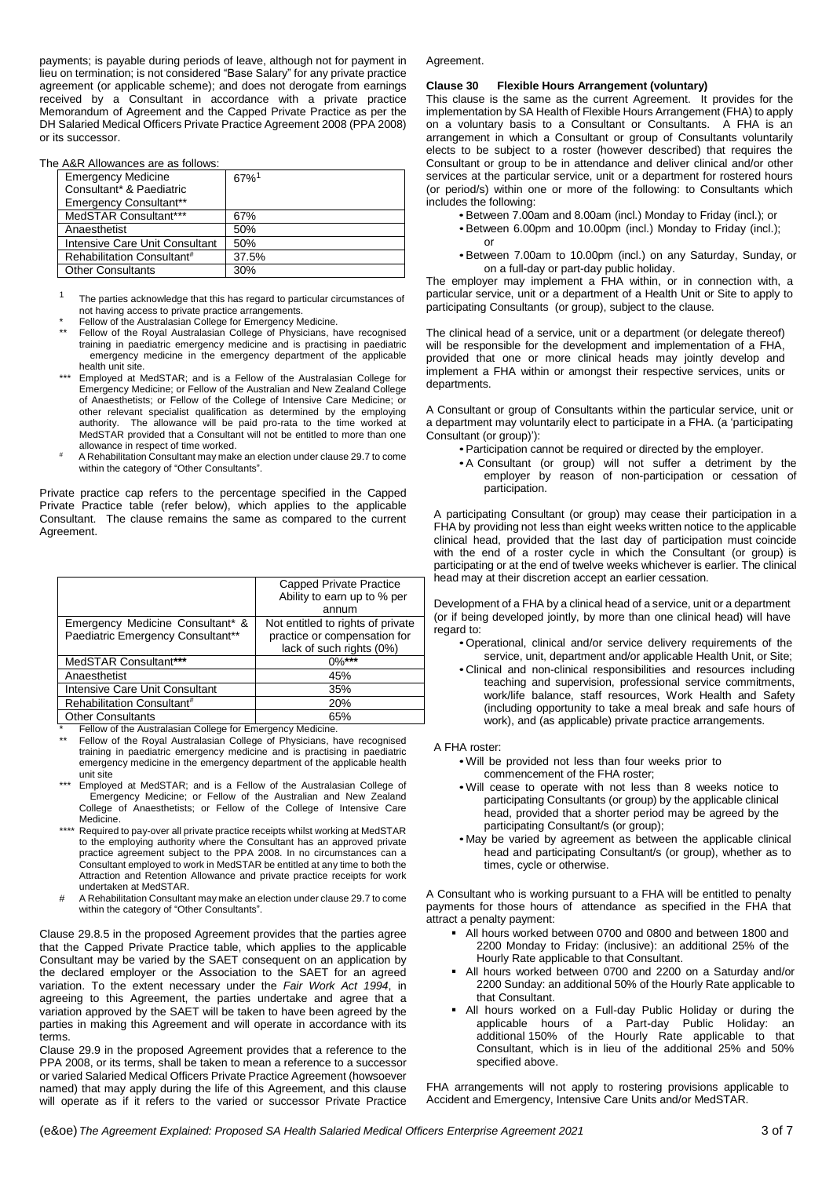payments; is payable during periods of leave, although not for payment in lieu on termination; is not considered "Base Salary" for any private practice agreement (or applicable scheme); and does not derogate from earnings received by a Consultant in accordance with a private practice Memorandum of Agreement and the Capped Private Practice as per the DH Salaried Medical Officers Private Practice Agreement 2008 (PPA 2008) or its successor.

#### The A&R Allowances are as follows:

| <b>Emergency Medicine</b>              | $67%$ <sup>1</sup> |  |
|----------------------------------------|--------------------|--|
| Consultant* & Paediatric               |                    |  |
| <b>Emergency Consultant**</b>          |                    |  |
| MedSTAR Consultant***                  | 67%                |  |
| Anaesthetist                           | 50%                |  |
| Intensive Care Unit Consultant         | 50%                |  |
| Rehabilitation Consultant <sup>#</sup> | 37.5%              |  |
| <b>Other Consultants</b>               | 30%                |  |
|                                        |                    |  |

- <sup>1</sup> The parties acknowledge that this has regard to particular circumstances of not having access to private practice arrangements.
- Fellow of the Australasian College for Emergency Medicine.
- Fellow of the Royal Australasian College of Physicians, have recognised training in paediatric emergency medicine and is practising in paediatric emergency medicine in the emergency department of the applicable health unit site.
- \*\*\* Employed at MedSTAR; and is a Fellow of the Australasian College for Emergency Medicine; or Fellow of the Australian and New Zealand College of Anaesthetists; or Fellow of the College of Intensive Care Medicine; or other relevant specialist qualification as determined by the employing authority. The allowance will be paid pro-rata to the time worked at MedSTAR provided that a Consultant will not be entitled to more than one
- allowance in respect of time worked. # A Rehabilitation Consultant may make an election under clause 29.7 to come within the category of "Other Consultants".

Private practice cap refers to the percentage specified in the Capped Private Practice table (refer below), which applies to the applicable Consultant. The clause remains the same as compared to the current Agreement.

|                                        | Capped Private Practice           |
|----------------------------------------|-----------------------------------|
|                                        | Ability to earn up to % per       |
|                                        | annum                             |
| Emergency Medicine Consultant* &       | Not entitled to rights of private |
| Paediatric Emergency Consultant**      | practice or compensation for      |
|                                        | lack of such rights (0%)          |
| MedSTAR Consultant***                  | $0\%***$                          |
| Anaesthetist                           | 45%                               |
| Intensive Care Unit Consultant         | 35%                               |
| Rehabilitation Consultant <sup>#</sup> | <b>20%</b>                        |
| <b>Other Consultants</b>               | 65%                               |

Fellow of the Australasian College for Emergency Medicine.

- Fellow of the Royal Australasian College of Physicians, have recognised training in paediatric emergency medicine and is practising in paediatric emergency medicine in the emergency department of the applicable health unit site
- Employed at MedSTAR; and is a Fellow of the Australasian College of Emergency Medicine; or Fellow of the Australian and New Zealand College of Anaesthetists; or Fellow of the College of Intensive Care Medicine.
- Required to pay-over all private practice receipts whilst working at MedSTAR to the employing authority where the Consultant has an approved private practice agreement subject to the PPA 2008. In no circumstances can a Consultant employed to work in MedSTAR be entitled at any time to both the Attraction and Retention Allowance and private practice receipts for work undertaken at MedSTAR.
- # A Rehabilitation Consultant may make an election under clause 29.7 to come within the category of "Other Consultants".

Clause 29.8.5 in the proposed Agreement provides that the parties agree that the Capped Private Practice table, which applies to the applicable Consultant may be varied by the SAET consequent on an application by the declared employer or the Association to the SAET for an agreed variation. To the extent necessary under the *Fair Work Act 1994*, in agreeing to this Agreement, the parties undertake and agree that a variation approved by the SAET will be taken to have been agreed by the parties in making this Agreement and will operate in accordance with its terms.

Clause 29.9 in the proposed Agreement provides that a reference to the PPA 2008, or its terms, shall be taken to mean a reference to a successor or varied Salaried Medical Officers Private Practice Agreement (howsoever named) that may apply during the life of this Agreement, and this clause will operate as if it refers to the varied or successor Private Practice

#### Agreement

#### **Clause 30 Flexible Hours Arrangement (voluntary)**

This clause is the same as the current Agreement. It provides for the implementation by SA Health of Flexible Hours Arrangement (FHA) to apply on a voluntary basis to a Consultant or Consultants. A FHA is an arrangement in which a Consultant or group of Consultants voluntarily elects to be subject to a roster (however described) that requires the Consultant or group to be in attendance and deliver clinical and/or other services at the particular service, unit or a department for rostered hours (or period/s) within one or more of the following: to Consultants which includes the following:

- •Between 7.00am and 8.00am (incl.) Monday to Friday (incl.); or
- •Between 6.00pm and 10.00pm (incl.) Monday to Friday (incl.);
- or •Between 7.00am to 10.00pm (incl.) on any Saturday, Sunday, or on a full-day or part-day public holiday.

The employer may implement a FHA within, or in connection with, a particular service, unit or a department of a Health Unit or Site to apply to participating Consultants (or group), subject to the clause.

The clinical head of a service, unit or a department (or delegate thereof) will be responsible for the development and implementation of a FHA, provided that one or more clinical heads may jointly develop and implement a FHA within or amongst their respective services, units or departments.

A Consultant or group of Consultants within the particular service, unit or a department may voluntarily elect to participate in a FHA. (a 'participating Consultant (or group)'):

- •Participation cannot be required or directed by the employer.
- •A Consultant (or group) will not suffer a detriment by the employer by reason of non-participation or cessation of participation.

A participating Consultant (or group) may cease their participation in a FHA by providing not less than eight weeks written notice to the applicable clinical head, provided that the last day of participation must coincide with the end of a roster cycle in which the Consultant (or group) is participating or at the end of twelve weeks whichever is earlier. The clinical head may at their discretion accept an earlier cessation.

Development of a FHA by a clinical head of a service, unit or a department (or if being developed jointly, by more than one clinical head) will have regard to:

- •Operational, clinical and/or service delivery requirements of the service, unit, department and/or applicable Health Unit, or Site;
- •Clinical and non-clinical responsibilities and resources including teaching and supervision, professional service commitments, work/life balance, staff resources, Work Health and Safety (including opportunity to take a meal break and safe hours of work), and (as applicable) private practice arrangements.

## A FHA roster:

- •Will be provided not less than four weeks prior to commencement of the FHA roster;
- •Will cease to operate with not less than 8 weeks notice to participating Consultants (or group) by the applicable clinical head, provided that a shorter period may be agreed by the participating Consultant/s (or group);
- •May be varied by agreement as between the applicable clinical head and participating Consultant/s (or group), whether as to times, cycle or otherwise.

A Consultant who is working pursuant to a FHA will be entitled to penalty payments for those hours of attendance as specified in the FHA that attract a penalty payment:

- All hours worked between 0700 and 0800 and between 1800 and 2200 Monday to Friday: (inclusive): an additional 25% of the Hourly Rate applicable to that Consultant.
- All hours worked between 0700 and 2200 on a Saturday and/or 2200 Sunday: an additional 50% of the Hourly Rate applicable to that Consultant.
- All hours worked on a Full-day Public Holiday or during the applicable hours of a Part-day Public Holiday: additional 150% of the Hourly Rate applicable to that Consultant, which is in lieu of the additional 25% and 50% specified above.

FHA arrangements will not apply to rostering provisions applicable to Accident and Emergency, Intensive Care Units and/or MedSTAR.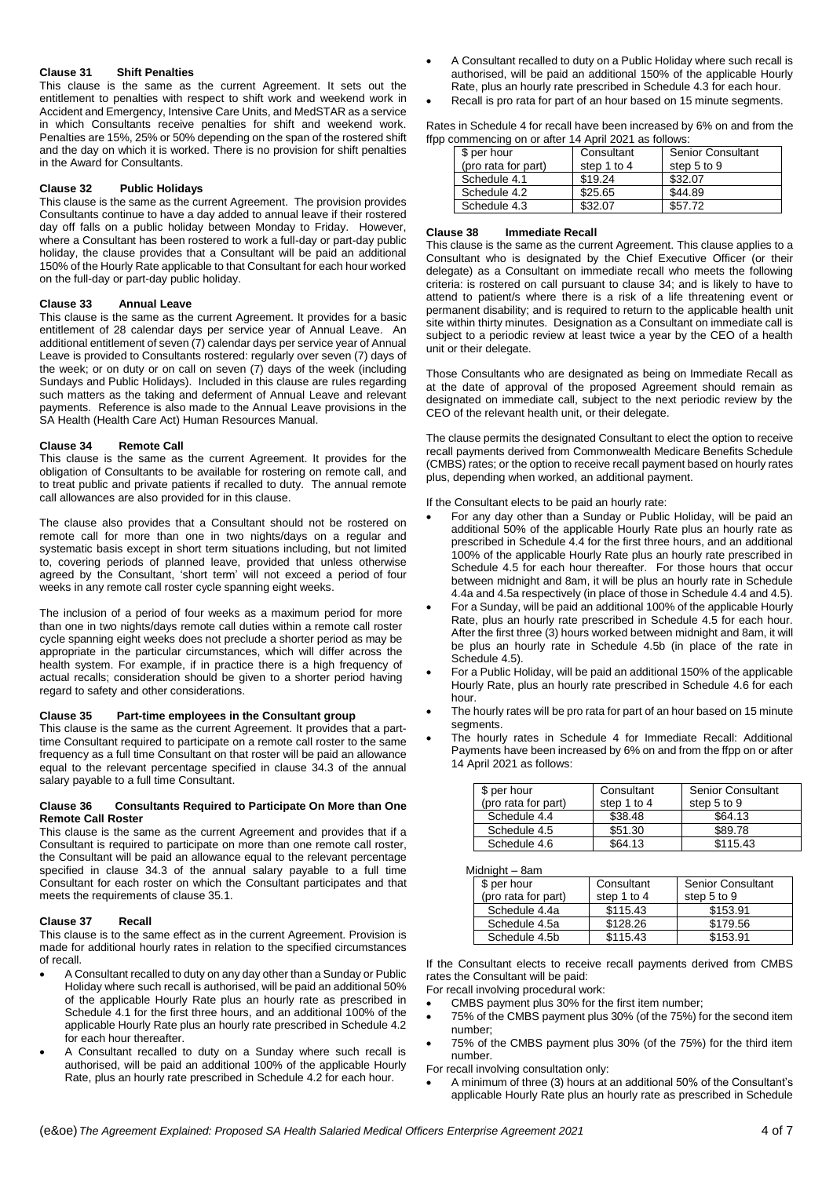#### **Clause 31 Shift Penalties**

This clause is the same as the current Agreement. It sets out the entitlement to penalties with respect to shift work and weekend work in Accident and Emergency, Intensive Care Units, and MedSTAR as a service in which Consultants receive penalties for shift and weekend work. Penalties are 15%, 25% or 50% depending on the span of the rostered shift and the day on which it is worked. There is no provision for shift penalties in the Award for Consultants.

#### **Clause 32 Public Holidays**

This clause is the same as the current Agreement. The provision provides Consultants continue to have a day added to annual leave if their rostered day off falls on a public holiday between Monday to Friday. However, where a Consultant has been rostered to work a full-day or part-day public holiday, the clause provides that a Consultant will be paid an additional 150% of the Hourly Rate applicable to that Consultant for each hour worked on the full-day or part-day public holiday.

#### **Clause 33 Annual Leave**

This clause is the same as the current Agreement. It provides for a basic entitlement of 28 calendar days per service year of Annual Leave. An additional entitlement of seven (7) calendar days per service year of Annual Leave is provided to Consultants rostered: regularly over seven (7) days of the week; or on duty or on call on seven (7) days of the week (including Sundays and Public Holidays). Included in this clause are rules regarding such matters as the taking and deferment of Annual Leave and relevant payments. Reference is also made to the Annual Leave provisions in the SA Health (Health Care Act) Human Resources Manual.

#### **Clause 34 Remote Call**

This clause is the same as the current Agreement. It provides for the obligation of Consultants to be available for rostering on remote call, and to treat public and private patients if recalled to duty. The annual remote call allowances are also provided for in this clause.

The clause also provides that a Consultant should not be rostered on remote call for more than one in two nights/days on a regular and systematic basis except in short term situations including, but not limited to, covering periods of planned leave, provided that unless otherwise agreed by the Consultant, 'short term' will not exceed a period of four weeks in any remote call roster cycle spanning eight weeks.

The inclusion of a period of four weeks as a maximum period for more than one in two nights/days remote call duties within a remote call roster cycle spanning eight weeks does not preclude a shorter period as may be appropriate in the particular circumstances, which will differ across the health system. For example, if in practice there is a high frequency of actual recalls; consideration should be given to a shorter period having regard to safety and other considerations.

#### **Clause 35 Part-time employees in the Consultant group**

This clause is the same as the current Agreement. It provides that a parttime Consultant required to participate on a remote call roster to the same frequency as a full time Consultant on that roster will be paid an allowance equal to the relevant percentage specified in clause 34.3 of the annual salary payable to a full time Consultant.

#### **Clause 36 Consultants Required to Participate On More than One Remote Call Roster**

This clause is the same as the current Agreement and provides that if a Consultant is required to participate on more than one remote call roster, the Consultant will be paid an allowance equal to the relevant percentage specified in clause 34.3 of the annual salary payable to a full time Consultant for each roster on which the Consultant participates and that meets the requirements of clause 35.1.

#### **Clause 37 Recall**

This clause is to the same effect as in the current Agreement. Provision is made for additional hourly rates in relation to the specified circumstances of recall.

- A Consultant recalled to duty on any day other than a Sunday or Public Holiday where such recall is authorised, will be paid an additional 50% of the applicable Hourly Rate plus an hourly rate as prescribed in Schedule 4.1 for the first three hours, and an additional 100% of the applicable Hourly Rate plus an hourly rate prescribed in Schedule 4.2 for each hour thereafter.
- A Consultant recalled to duty on a Sunday where such recall is authorised, will be paid an additional 100% of the applicable Hourly Rate, plus an hourly rate prescribed in Schedule 4.2 for each hour.
- A Consultant recalled to duty on a Public Holiday where such recall is authorised, will be paid an additional 150% of the applicable Hourly Rate, plus an hourly rate prescribed in Schedule 4.3 for each hour.
- Recall is pro rata for part of an hour based on 15 minute segments.

Rates in Schedule 4 for recall have been increased by 6% on and from the ffpp commencing on or after 14 April 2021 as follows:

| \$ per hour         | Consultant  | <b>Senior Consultant</b> |
|---------------------|-------------|--------------------------|
| (pro rata for part) | step 1 to 4 | step 5 to 9              |
| Schedule 4.1        | \$19.24     | \$32.07                  |
| Schedule 4.2        | \$25.65     | \$44.89                  |
| Schedule 4.3        | \$32.07     | \$57.72                  |

#### **Clause 38 Immediate Recall**

This clause is the same as the current Agreement. This clause applies to a Consultant who is designated by the Chief Executive Officer (or their delegate) as a Consultant on immediate recall who meets the following criteria: is rostered on call pursuant to clause 34; and is likely to have to attend to patient/s where there is a risk of a life threatening event or permanent disability; and is required to return to the applicable health unit site within thirty minutes. Designation as a Consultant on immediate call is subject to a periodic review at least twice a year by the CEO of a health unit or their delegate.

Those Consultants who are designated as being on Immediate Recall as at the date of approval of the proposed Agreement should remain as designated on immediate call, subject to the next periodic review by the CEO of the relevant health unit, or their delegate.

The clause permits the designated Consultant to elect the option to receive recall payments derived from Commonwealth Medicare Benefits Schedule (CMBS) rates; or the option to receive recall payment based on hourly rates plus, depending when worked, an additional payment.

If the Consultant elects to be paid an hourly rate:

- For any day other than a Sunday or Public Holiday, will be paid an additional 50% of the applicable Hourly Rate plus an hourly rate as prescribed in Schedule 4.4 for the first three hours, and an additional 100% of the applicable Hourly Rate plus an hourly rate prescribed in Schedule 4.5 for each hour thereafter. For those hours that occur between midnight and 8am, it will be plus an hourly rate in Schedule 4.4a and 4.5a respectively (in place of those in Schedule 4.4 and 4.5).
- For a Sunday, will be paid an additional 100% of the applicable Hourly Rate, plus an hourly rate prescribed in Schedule 4.5 for each hour. After the first three (3) hours worked between midnight and 8am, it will be plus an hourly rate in Schedule 4.5b (in place of the rate in Schedule 4.5).
- For a Public Holiday, will be paid an additional 150% of the applicable Hourly Rate, plus an hourly rate prescribed in Schedule 4.6 for each hour.
- The hourly rates will be pro rata for part of an hour based on 15 minute segments.
- The hourly rates in Schedule 4 for Immediate Recall: Additional Payments have been increased by 6% on and from the ffpp on or after 14 April 2021 as follows:

| \$ per hour<br>(pro rata for part) | Consultant<br>step 1 to 4 | <b>Senior Consultant</b><br>step 5 to 9 |
|------------------------------------|---------------------------|-----------------------------------------|
| Schedule 4.4                       | \$38.48                   | \$64.13                                 |
| Schedule 4.5                       | \$51.30                   | \$89.78                                 |
| Schedule 4.6                       | \$64.13                   | \$115.43                                |

Midnight – 8am

| \$ per hour         | Consultant  | <b>Senior Consultant</b> |
|---------------------|-------------|--------------------------|
| (pro rata for part) | step 1 to 4 | step 5 to 9              |
| Schedule 4.4a       | \$115.43    | \$153.91                 |
| Schedule 4.5a       | \$128.26    | \$179.56                 |
| Schedule 4.5b       | \$115.43    | \$153.91                 |

If the Consultant elects to receive recall payments derived from CMBS rates the Consultant will be paid:

- For recall involving procedural work:
- CMBS payment plus 30% for the first item number;
- 75% of the CMBS payment plus 30% (of the 75%) for the second item number;
- 75% of the CMBS payment plus 30% (of the 75%) for the third item number.

For recall involving consultation only:

 A minimum of three (3) hours at an additional 50% of the Consultant's applicable Hourly Rate plus an hourly rate as prescribed in Schedule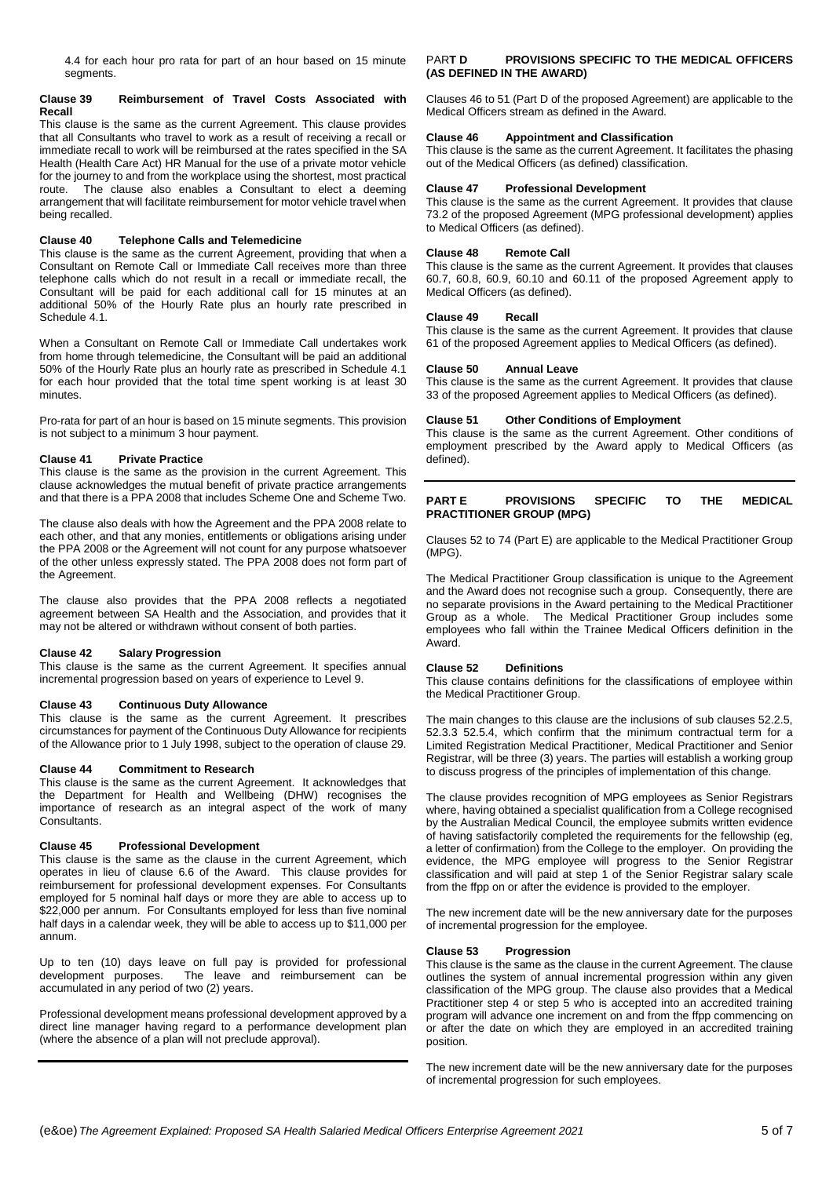4.4 for each hour pro rata for part of an hour based on 15 minute segments.

#### **Clause 39 Reimbursement of Travel Costs Associated with Recall**

This clause is the same as the current Agreement. This clause provides that all Consultants who travel to work as a result of receiving a recall or immediate recall to work will be reimbursed at the rates specified in the SA Health (Health Care Act) HR Manual for the use of a private motor vehicle for the journey to and from the workplace using the shortest, most practical<br>route. The clause also enables a Consultant to elect a deeming The clause also enables a Consultant to elect a deeming arrangement that will facilitate reimbursement for motor vehicle travel when being recalled.

## **Clause 40 Telephone Calls and Telemedicine**

This clause is the same as the current Agreement, providing that when a Consultant on Remote Call or Immediate Call receives more than three telephone calls which do not result in a recall or immediate recall, the Consultant will be paid for each additional call for 15 minutes at an additional 50% of the Hourly Rate plus an hourly rate prescribed in Schedule 4.1.

When a Consultant on Remote Call or Immediate Call undertakes work from home through telemedicine, the Consultant will be paid an additional 50% of the Hourly Rate plus an hourly rate as prescribed in Schedule 4.1 for each hour provided that the total time spent working is at least 30 minutes.

Pro-rata for part of an hour is based on 15 minute segments. This provision is not subject to a minimum 3 hour payment.

# **Clause 41 Private Practice**

This clause is the same as the provision in the current Agreement. This clause acknowledges the mutual benefit of private practice arrangements and that there is a PPA 2008 that includes Scheme One and Scheme Two.

The clause also deals with how the Agreement and the PPA 2008 relate to each other, and that any monies, entitlements or obligations arising under the PPA 2008 or the Agreement will not count for any purpose whatsoever of the other unless expressly stated. The PPA 2008 does not form part of the Agreement.

The clause also provides that the PPA 2008 reflects a negotiated agreement between SA Health and the Association, and provides that it may not be altered or withdrawn without consent of both parties.

## **Clause 42 Salary Progression**

This clause is the same as the current Agreement. It specifies annual incremental progression based on years of experience to Level 9.

## **Clause 43 Continuous Duty Allowance**

This clause is the same as the current Agreement. It prescribes circumstances for payment of the Continuous Duty Allowance for recipients of the Allowance prior to 1 July 1998, subject to the operation of clause 29.

## **Clause 44 Commitment to Research**

This clause is the same as the current Agreement. It acknowledges that the Department for Health and Wellbeing (DHW) recognises the importance of research as an integral aspect of the work of many Consultants.

## **Clause 45 Professional Development**

This clause is the same as the clause in the current Agreement, which operates in lieu of clause 6.6 of the Award. This clause provides for reimbursement for professional development expenses. For Consultants employed for 5 nominal half days or more they are able to access up to \$22,000 per annum. For Consultants employed for less than five nominal half days in a calendar week, they will be able to access up to \$11,000 per annum.

Up to ten (10) days leave on full pay is provided for professional development purposes. The leave and reimbursement can be The leave and reimbursement can be accumulated in any period of two (2) years.

Professional development means professional development approved by a direct line manager having regard to a performance development plan (where the absence of a plan will not preclude approval).

# PAR**T D PROVISIONS SPECIFIC TO THE MEDICAL OFFICERS (AS DEFINED IN THE AWARD)**

Clauses 46 to 51 (Part D of the proposed Agreement) are applicable to the Medical Officers stream as defined in the Award.

## **Clause 46 Appointment and Classification**

This clause is the same as the current Agreement. It facilitates the phasing out of the Medical Officers (as defined) classification.

# **Clause 47 Professional Development**

This clause is the same as the current Agreement. It provides that clause 73.2 of the proposed Agreement (MPG professional development) applies to Medical Officers (as defined).

# **Clause 48 Remote Call**

This clause is the same as the current Agreement. It provides that clauses 60.7, 60.8, 60.9, 60.10 and 60.11 of the proposed Agreement apply to Medical Officers (as defined).

## **Clause 49 Recall**

This clause is the same as the current Agreement. It provides that clause 61 of the proposed Agreement applies to Medical Officers (as defined).

# **Clause 50 Annual Leave**

This clause is the same as the current Agreement. It provides that clause 33 of the proposed Agreement applies to Medical Officers (as defined).

# **Clause 51 Other Conditions of Employment**

This clause is the same as the current Agreement. Other conditions of employment prescribed by the Award apply to Medical Officers (as defined).

# **PART E PROVISIONS SPECIFIC TO THE MEDICAL PRACTITIONER GROUP (MPG)**

Clauses 52 to 74 (Part E) are applicable to the Medical Practitioner Group (MPG).

The Medical Practitioner Group classification is unique to the Agreement and the Award does not recognise such a group. Consequently, there are no separate provisions in the Award pertaining to the Medical Practitioner Group as a whole. The Medical Practitioner Group includes some employees who fall within the Trainee Medical Officers definition in the Award.

## **Clause 52 Definitions**

This clause contains definitions for the classifications of employee within the Medical Practitioner Group.

The main changes to this clause are the inclusions of sub clauses 52.2.5, 52.3.3 52.5.4, which confirm that the minimum contractual term for a Limited Registration Medical Practitioner, Medical Practitioner and Senior Registrar, will be three (3) years. The parties will establish a working group to discuss progress of the principles of implementation of this change.

The clause provides recognition of MPG employees as Senior Registrars where, having obtained a specialist qualification from a College recognised by the Australian Medical Council, the employee submits written evidence of having satisfactorily completed the requirements for the fellowship (eg, a letter of confirmation) from the College to the employer. On providing the evidence, the MPG employee will progress to the Senior Registrar classification and will paid at step 1 of the Senior Registrar salary scale from the ffpp on or after the evidence is provided to the employer.

The new increment date will be the new anniversary date for the purposes of incremental progression for the employee.

## **Clause 53 Progression**

This clause is the same as the clause in the current Agreement. The clause outlines the system of annual incremental progression within any given classification of the MPG group. The clause also provides that a Medical Practitioner step 4 or step 5 who is accepted into an accredited training program will advance one increment on and from the ffpp commencing on or after the date on which they are employed in an accredited training position.

The new increment date will be the new anniversary date for the purposes of incremental progression for such employees.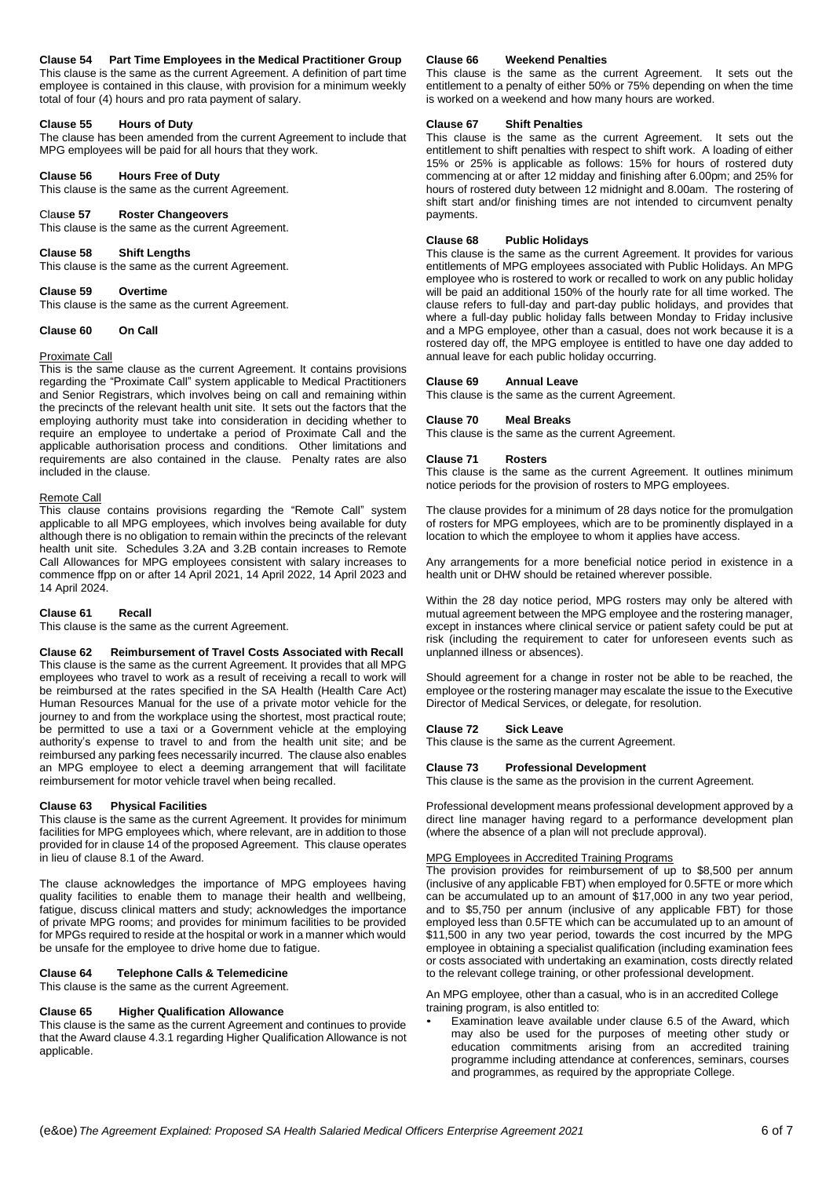# **Clause 54 Part Time Employees in the Medical Practitioner Group**

This clause is the same as the current Agreement. A definition of part time employee is contained in this clause, with provision for a minimum weekly total of four (4) hours and pro rata payment of salary.

#### **Clause 55 Hours of Duty**

The clause has been amended from the current Agreement to include that MPG employees will be paid for all hours that they work.

#### **Clause 56 Hours Free of Duty**

This clause is the same as the current Agreement.

## Cla**u**s**e 57 Roster Changeovers**

This clause is the same as the current Agreement.

## **Clause 58 Shift Lengths**

This clause is the same as the current Agreement.

# **Clause 59 Overtime**

This clause is the same as the current Agreement.

## **Clause 60 On Call**

## Proximate Call

This is the same clause as the current Agreement. It contains provisions regarding the "Proximate Call" system applicable to Medical Practitioners and Senior Registrars, which involves being on call and remaining within the precincts of the relevant health unit site. It sets out the factors that the employing authority must take into consideration in deciding whether to require an employee to undertake a period of Proximate Call and the applicable authorisation process and conditions. Other limitations and requirements are also contained in the clause. Penalty rates are also included in the clause.

#### Remote Call

This clause contains provisions regarding the "Remote Call" system applicable to all MPG employees, which involves being available for duty although there is no obligation to remain within the precincts of the relevant health unit site. Schedules 3.2A and 3.2B contain increases to Remote Call Allowances for MPG employees consistent with salary increases to commence ffpp on or after 14 April 2021, 14 April 2022, 14 April 2023 and 14 April 2024.

#### **Clause 61 Recall**

This clause is the same as the current Agreement.

**Clause 62 Reimbursement of Travel Costs Associated with Recall** This clause is the same as the current Agreement. It provides that all MPG employees who travel to work as a result of receiving a recall to work will be reimbursed at the rates specified in the SA Health (Health Care Act) Human Resources Manual for the use of a private motor vehicle for the journey to and from the workplace using the shortest, most practical route; be permitted to use a taxi or a Government vehicle at the employing authority's expense to travel to and from the health unit site; and be reimbursed any parking fees necessarily incurred. The clause also enables an MPG employee to elect a deeming arrangement that will facilitate reimbursement for motor vehicle travel when being recalled.

#### **Clause 63 Physical Facilities**

This clause is the same as the current Agreement. It provides for minimum facilities for MPG employees which, where relevant, are in addition to those provided for in clause 14 of the proposed Agreement. This clause operates in lieu of clause 8.1 of the Award.

The clause acknowledges the importance of MPG employees having quality facilities to enable them to manage their health and wellbeing, fatigue, discuss clinical matters and study; acknowledges the importance of private MPG rooms; and provides for minimum facilities to be provided for MPGs required to reside at the hospital or work in a manner which would be unsafe for the employee to drive home due to fatigue.

# **Clause 64 Telephone Calls & Telemedicine**

This clause is the same as the current Agreement.

# **Clause 65 Higher Qualification Allowance**

This clause is the same as the current Agreement and continues to provide that the Award clause 4.3.1 regarding Higher Qualification Allowance is not applicable.

# **Clause 66 Weekend Penalties**

This clause is the same as the current Agreement. It sets out the entitlement to a penalty of either 50% or 75% depending on when the time is worked on a weekend and how many hours are worked.

#### **Clause 67 Shift Penalties**

This clause is the same as the current Agreement. It sets out the entitlement to shift penalties with respect to shift work. A loading of either 15% or 25% is applicable as follows: 15% for hours of rostered duty commencing at or after 12 midday and finishing after 6.00pm; and 25% for hours of rostered duty between 12 midnight and 8.00am. The rostering of shift start and/or finishing times are not intended to circumvent penalty payments.

#### **Clause 68 Public Holidays**

This clause is the same as the current Agreement. It provides for various entitlements of MPG employees associated with Public Holidays. An MPG employee who is rostered to work or recalled to work on any public holiday will be paid an additional 150% of the hourly rate for all time worked. The clause refers to full-day and part-day public holidays, and provides that where a full-day public holiday falls between Monday to Friday inclusive and a MPG employee, other than a casual, does not work because it is a rostered day off, the MPG employee is entitled to have one day added to annual leave for each public holiday occurring.

#### **Clause 69 Annual Leave**

This clause is the same as the current Agreement.

## **Clause 70 Meal Breaks**

This clause is the same as the current Agreement.

#### **Clause 71 Rosters**

This clause is the same as the current Agreement. It outlines minimum notice periods for the provision of rosters to MPG employees.

The clause provides for a minimum of 28 days notice for the promulgation of rosters for MPG employees, which are to be prominently displayed in a location to which the employee to whom it applies have access.

Any arrangements for a more beneficial notice period in existence in a health unit or DHW should be retained wherever possible.

Within the 28 day notice period, MPG rosters may only be altered with mutual agreement between the MPG employee and the rostering manager, except in instances where clinical service or patient safety could be put at risk (including the requirement to cater for unforeseen events such as unplanned illness or absences).

Should agreement for a change in roster not be able to be reached, the employee or the rostering manager may escalate the issue to the Executive Director of Medical Services, or delegate, for resolution.

#### **Clause 72 Sick Leave**

This clause is the same as the current Agreement.

#### **Clause 73 Professional Development**

This clause is the same as the provision in the current Agreement.

Professional development means professional development approved by a direct line manager having regard to a performance development plan (where the absence of a plan will not preclude approval).

#### MPG Employees in Accredited Training Programs

The provision provides for reimbursement of up to \$8,500 per annum (inclusive of any applicable FBT) when employed for 0.5FTE or more which can be accumulated up to an amount of \$17,000 in any two year period, and to \$5,750 per annum (inclusive of any applicable FBT) for those employed less than 0.5FTE which can be accumulated up to an amount of \$11,500 in any two year period, towards the cost incurred by the MPG employee in obtaining a specialist qualification (including examination fees or costs associated with undertaking an examination, costs directly related to the relevant college training, or other professional development.

An MPG employee, other than a casual, who is in an accredited College training program, is also entitled to:

Examination leave available under clause 6.5 of the Award, which may also be used for the purposes of meeting other study or education commitments arising from an accredited training programme including attendance at conferences, seminars, courses and programmes, as required by the appropriate College.